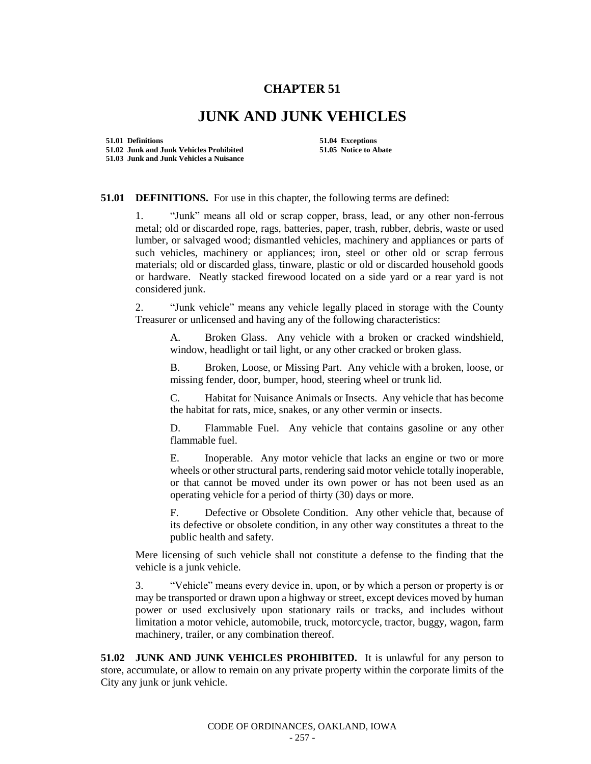## **CHAPTER 51**

## **JUNK AND JUNK VEHICLES**

**51.01 Definitions 51.04 Exceptions 51.02 Junk and Junk Vehicles Prohibited 51.05 Notice to Abate 51.03 Junk and Junk Vehicles a Nuisance**

## **51.01 DEFINITIONS.** For use in this chapter, the following terms are defined:

1. "Junk" means all old or scrap copper, brass, lead, or any other non-ferrous metal; old or discarded rope, rags, batteries, paper, trash, rubber, debris, waste or used lumber, or salvaged wood; dismantled vehicles, machinery and appliances or parts of such vehicles, machinery or appliances; iron, steel or other old or scrap ferrous materials; old or discarded glass, tinware, plastic or old or discarded household goods or hardware. Neatly stacked firewood located on a side yard or a rear yard is not considered junk.

2. "Junk vehicle" means any vehicle legally placed in storage with the County Treasurer or unlicensed and having any of the following characteristics:

A. Broken Glass. Any vehicle with a broken or cracked windshield, window, headlight or tail light, or any other cracked or broken glass.

B. Broken, Loose, or Missing Part. Any vehicle with a broken, loose, or missing fender, door, bumper, hood, steering wheel or trunk lid.

C. Habitat for Nuisance Animals or Insects. Any vehicle that has become the habitat for rats, mice, snakes, or any other vermin or insects.

D. Flammable Fuel. Any vehicle that contains gasoline or any other flammable fuel.

E. Inoperable. Any motor vehicle that lacks an engine or two or more wheels or other structural parts, rendering said motor vehicle totally inoperable, or that cannot be moved under its own power or has not been used as an operating vehicle for a period of thirty (30) days or more.

F. Defective or Obsolete Condition. Any other vehicle that, because of its defective or obsolete condition, in any other way constitutes a threat to the public health and safety.

Mere licensing of such vehicle shall not constitute a defense to the finding that the vehicle is a junk vehicle.

3. "Vehicle" means every device in, upon, or by which a person or property is or may be transported or drawn upon a highway or street, except devices moved by human power or used exclusively upon stationary rails or tracks, and includes without limitation a motor vehicle, automobile, truck, motorcycle, tractor, buggy, wagon, farm machinery, trailer, or any combination thereof.

**51.02 JUNK AND JUNK VEHICLES PROHIBITED.** It is unlawful for any person to store, accumulate, or allow to remain on any private property within the corporate limits of the City any junk or junk vehicle.